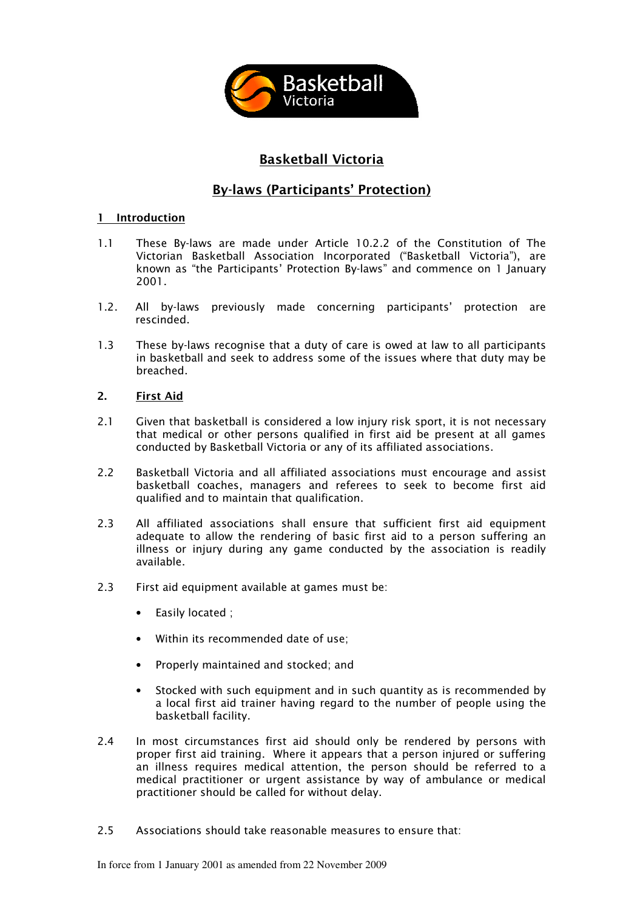

# Basketball Victoria

# By-laws (Participants' Protection)

## 1 Introduction

- 1.1 These By-laws are made under Article 10.2.2 of the Constitution of The Victorian Basketball Association Incorporated ("Basketball Victoria"), are known as "the Participants' Protection By-laws" and commence on 1 January 2001.
- 1.2. All by-laws previously made concerning participants' protection are rescinded.
- 1.3 These by-laws recognise that a duty of care is owed at law to all participants in basketball and seek to address some of the issues where that duty may be breached.

## 2. First Aid

- 2.1 Given that basketball is considered a low injury risk sport, it is not necessary that medical or other persons qualified in first aid be present at all games conducted by Basketball Victoria or any of its affiliated associations.
- 2.2 Basketball Victoria and all affiliated associations must encourage and assist basketball coaches, managers and referees to seek to become first aid qualified and to maintain that qualification.
- 2.3 All affiliated associations shall ensure that sufficient first aid equipment adequate to allow the rendering of basic first aid to a person suffering an illness or injury during any game conducted by the association is readily available.
- 2.3 First aid equipment available at games must be:
	- Easily located ;
	- Within its recommended date of use;
	- Properly maintained and stocked; and
	- Stocked with such equipment and in such quantity as is recommended by a local first aid trainer having regard to the number of people using the basketball facility.
- 2.4 In most circumstances first aid should only be rendered by persons with proper first aid training. Where it appears that a person injured or suffering an illness requires medical attention, the person should be referred to a medical practitioner or urgent assistance by way of ambulance or medical practitioner should be called for without delay.
- 2.5 Associations should take reasonable measures to ensure that: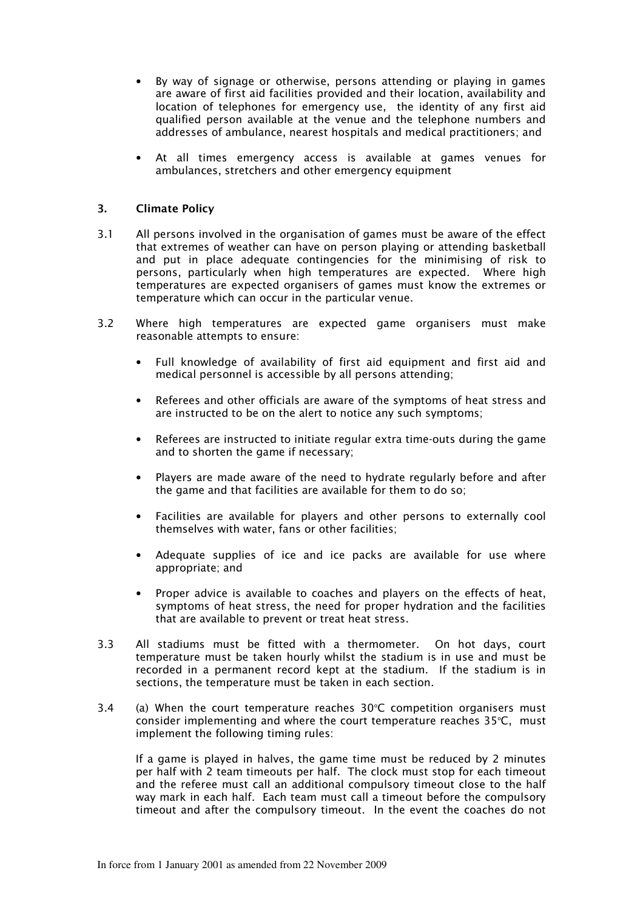- By way of signage or otherwise, persons attending or playing in games are aware of first aid facilities provided and their location, availability and location of telephones for emergency use, the identity of any first aid qualified person available at the venue and the telephone numbers and addresses of ambulance, nearest hospitals and medical practitioners; and
- At all times emergency access is available at games venues for ambulances, stretchers and other emergency equipment

### 3. Climate Policy

- 3.1 All persons involved in the organisation of games must be aware of the effect that extremes of weather can have on person playing or attending basketball and put in place adequate contingencies for the minimising of risk to persons, particularly when high temperatures are expected. Where high temperatures are expected organisers of games must know the extremes or temperature which can occur in the particular venue.
- 3.2 Where high temperatures are expected game organisers must make reasonable attempts to ensure:
	- Full knowledge of availability of first aid equipment and first aid and medical personnel is accessible by all persons attending;
	- Referees and other officials are aware of the symptoms of heat stress and are instructed to be on the alert to notice any such symptoms;
	- Referees are instructed to initiate regular extra time-outs during the game and to shorten the game if necessary;
	- Players are made aware of the need to hydrate regularly before and after the game and that facilities are available for them to do so;
	- Facilities are available for players and other persons to externally cool themselves with water, fans or other facilities;
	- Adequate supplies of ice and ice packs are available for use where appropriate; and
	- Proper advice is available to coaches and players on the effects of heat, symptoms of heat stress, the need for proper hydration and the facilities that are available to prevent or treat heat stress.
- 3.3 All stadiums must be fitted with a thermometer. On hot days, court temperature must be taken hourly whilst the stadium is in use and must be recorded in a permanent record kept at the stadium. If the stadium is in sections, the temperature must be taken in each section.
- 3.4 (a) When the court temperature reaches  $30^{\circ}$ C competition organisers must consider implementing and where the court temperature reaches  $35^{\circ}$ C, must implement the following timing rules:

 If a game is played in halves, the game time must be reduced by 2 minutes per half with 2 team timeouts per half. The clock must stop for each timeout and the referee must call an additional compulsory timeout close to the half way mark in each half. Each team must call a timeout before the compulsory timeout and after the compulsory timeout. In the event the coaches do not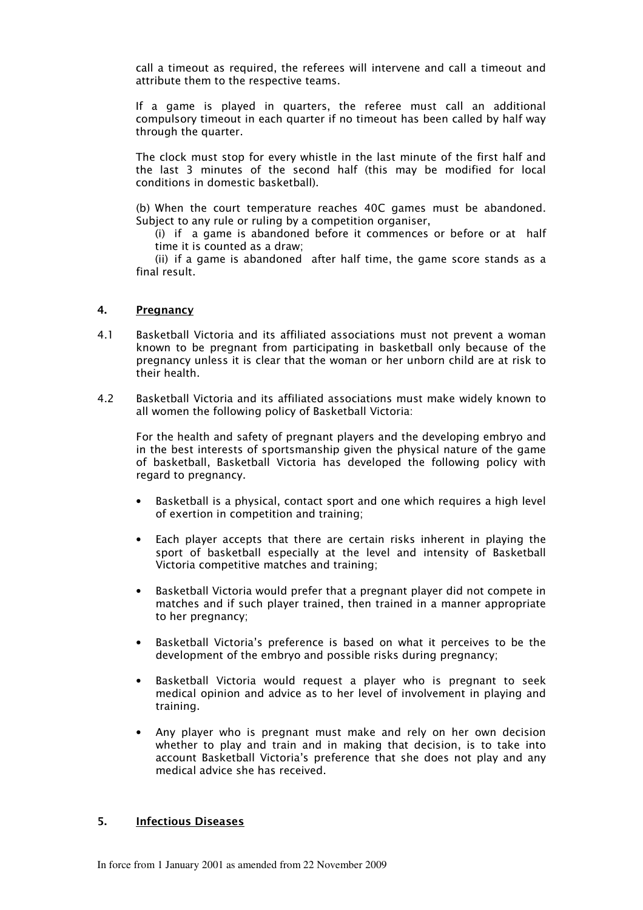call a timeout as required, the referees will intervene and call a timeout and attribute them to the respective teams.

 If a game is played in quarters, the referee must call an additional compulsory timeout in each quarter if no timeout has been called by half way through the quarter.

The clock must stop for every whistle in the last minute of the first half and the last 3 minutes of the second half (this may be modified for local conditions in domestic basketball).

 (b) When the court temperature reaches 40C games must be abandoned. Subject to any rule or ruling by a competition organiser,

 (i) if a game is abandoned before it commences or before or at half time it is counted as a draw;

 (ii) if a game is abandoned after half time, the game score stands as a final result.

### 4. Pregnancy

- 4.1 Basketball Victoria and its affiliated associations must not prevent a woman known to be pregnant from participating in basketball only because of the pregnancy unless it is clear that the woman or her unborn child are at risk to their health.
- 4.2 Basketball Victoria and its affiliated associations must make widely known to all women the following policy of Basketball Victoria:

For the health and safety of pregnant players and the developing embryo and in the best interests of sportsmanship given the physical nature of the game of basketball, Basketball Victoria has developed the following policy with regard to pregnancy.

- Basketball is a physical, contact sport and one which requires a high level of exertion in competition and training;
- Each player accepts that there are certain risks inherent in playing the sport of basketball especially at the level and intensity of Basketball Victoria competitive matches and training;
- Basketball Victoria would prefer that a pregnant player did not compete in matches and if such player trained, then trained in a manner appropriate to her pregnancy;
- Basketball Victoria's preference is based on what it perceives to be the development of the embryo and possible risks during pregnancy;
- Basketball Victoria would request a player who is pregnant to seek medical opinion and advice as to her level of involvement in playing and training.
- Any player who is pregnant must make and rely on her own decision whether to play and train and in making that decision, is to take into account Basketball Victoria's preference that she does not play and any medical advice she has received.

### 5. Infectious Diseases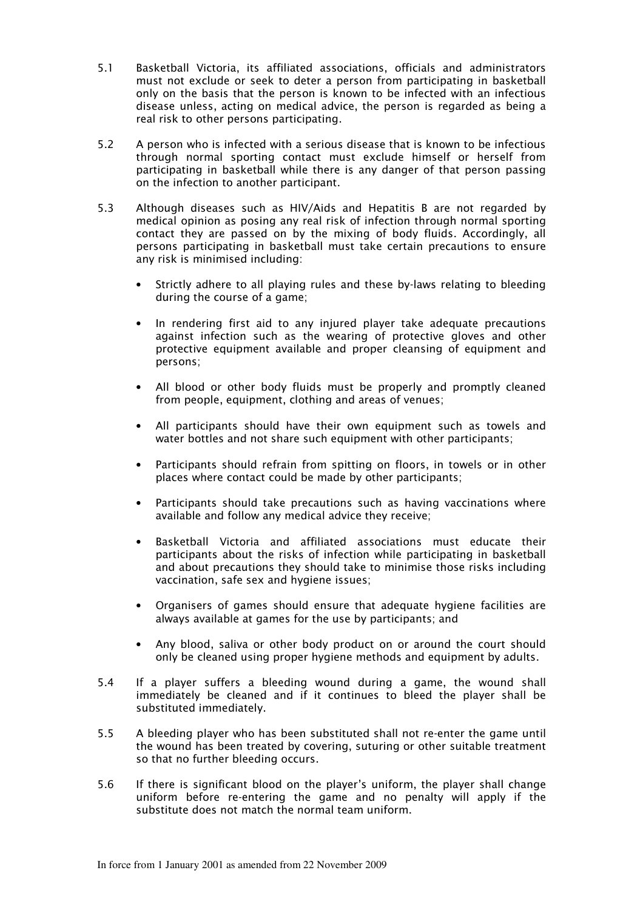- 5.1 Basketball Victoria, its affiliated associations, officials and administrators must not exclude or seek to deter a person from participating in basketball only on the basis that the person is known to be infected with an infectious disease unless, acting on medical advice, the person is regarded as being a real risk to other persons participating.
- 5.2 A person who is infected with a serious disease that is known to be infectious through normal sporting contact must exclude himself or herself from participating in basketball while there is any danger of that person passing on the infection to another participant.
- 5.3 Although diseases such as HIV/Aids and Hepatitis B are not regarded by medical opinion as posing any real risk of infection through normal sporting contact they are passed on by the mixing of body fluids. Accordingly, all persons participating in basketball must take certain precautions to ensure any risk is minimised including:
	- Strictly adhere to all playing rules and these by-laws relating to bleeding during the course of a game;
	- In rendering first aid to any injured player take adequate precautions against infection such as the wearing of protective gloves and other protective equipment available and proper cleansing of equipment and persons;
	- All blood or other body fluids must be properly and promptly cleaned from people, equipment, clothing and areas of venues;
	- All participants should have their own equipment such as towels and water bottles and not share such equipment with other participants;
	- Participants should refrain from spitting on floors, in towels or in other places where contact could be made by other participants;
	- Participants should take precautions such as having vaccinations where available and follow any medical advice they receive;
	- Basketball Victoria and affiliated associations must educate their participants about the risks of infection while participating in basketball and about precautions they should take to minimise those risks including vaccination, safe sex and hygiene issues;
	- Organisers of games should ensure that adequate hygiene facilities are always available at games for the use by participants; and
	- Any blood, saliva or other body product on or around the court should only be cleaned using proper hygiene methods and equipment by adults.
- 5.4 If a player suffers a bleeding wound during a game, the wound shall immediately be cleaned and if it continues to bleed the player shall be substituted immediately.
- 5.5 A bleeding player who has been substituted shall not re-enter the game until the wound has been treated by covering, suturing or other suitable treatment so that no further bleeding occurs.
- 5.6 If there is significant blood on the player's uniform, the player shall change uniform before re-entering the game and no penalty will apply if the substitute does not match the normal team uniform.